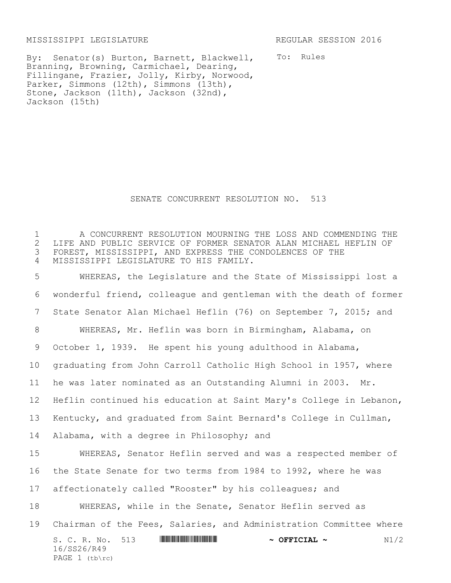MISSISSIPPI LEGISLATURE REGULAR SESSION 2016

To: Rules

By: Senator(s) Burton, Barnett, Blackwell, Branning, Browning, Carmichael, Dearing, Fillingane, Frazier, Jolly, Kirby, Norwood, Parker, Simmons (12th), Simmons (13th), Stone, Jackson (11th), Jackson (32nd), Jackson (15th)

## SENATE CONCURRENT RESOLUTION NO. 513

 A CONCURRENT RESOLUTION MOURNING THE LOSS AND COMMENDING THE 2 LIFE AND PUBLIC SERVICE OF FORMER SENATOR ALAN MICHAEL HEFLIN OF<br>3 FOREST, MISSISSIPPI, AND EXPRESS THE CONDOLENCES OF THE FOREST, MISSISSIPPI, AND EXPRESS THE CONDOLENCES OF THE MISSISSIPPI LEGISLATURE TO HIS FAMILY.

S. C. R. No. 513 **WILL BEER THE RESOLUTION ASSECTAL ~** N1/2 16/SS26/R49 PAGE (tb\rc) WHEREAS, the Legislature and the State of Mississippi lost a wonderful friend, colleague and gentleman with the death of former State Senator Alan Michael Heflin (76) on September 7, 2015; and WHEREAS, Mr. Heflin was born in Birmingham, Alabama, on October 1, 1939. He spent his young adulthood in Alabama, graduating from John Carroll Catholic High School in 1957, where he was later nominated as an Outstanding Alumni in 2003. Mr. Heflin continued his education at Saint Mary's College in Lebanon, Kentucky, and graduated from Saint Bernard's College in Cullman, Alabama, with a degree in Philosophy; and WHEREAS, Senator Heflin served and was a respected member of the State Senate for two terms from 1984 to 1992, where he was affectionately called "Rooster" by his colleagues; and WHEREAS, while in the Senate, Senator Heflin served as Chairman of the Fees, Salaries, and Administration Committee where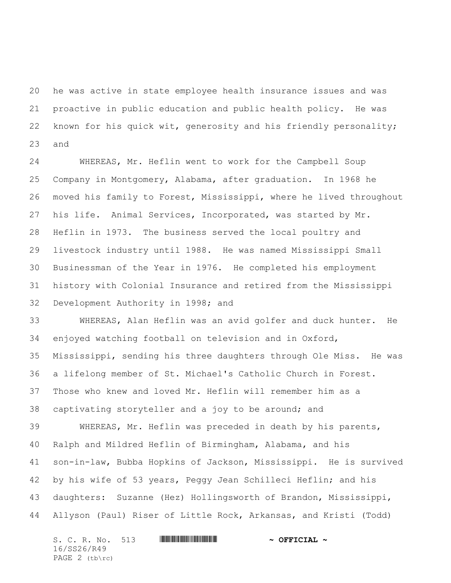he was active in state employee health insurance issues and was proactive in public education and public health policy. He was known for his quick wit, generosity and his friendly personality; and

 WHEREAS, Mr. Heflin went to work for the Campbell Soup Company in Montgomery, Alabama, after graduation. In 1968 he moved his family to Forest, Mississippi, where he lived throughout his life. Animal Services, Incorporated, was started by Mr. Heflin in 1973. The business served the local poultry and livestock industry until 1988. He was named Mississippi Small Businessman of the Year in 1976. He completed his employment history with Colonial Insurance and retired from the Mississippi Development Authority in 1998; and

 WHEREAS, Alan Heflin was an avid golfer and duck hunter. He enjoyed watching football on television and in Oxford, Mississippi, sending his three daughters through Ole Miss. He was a lifelong member of St. Michael's Catholic Church in Forest. Those who knew and loved Mr. Heflin will remember him as a captivating storyteller and a joy to be around; and WHEREAS, Mr. Heflin was preceded in death by his parents, Ralph and Mildred Heflin of Birmingham, Alabama, and his

 son-in-law, Bubba Hopkins of Jackson, Mississippi. He is survived by his wife of 53 years, Peggy Jean Schilleci Heflin; and his daughters: Suzanne (Hez) Hollingsworth of Brandon, Mississippi, Allyson (Paul) Riser of Little Rock, Arkansas, and Kristi (Todd)

S. C. R. No. 513 **WILLIAM CONTRACT & OFFICIAL ~** 16/SS26/R49 PAGE 2 (tb\rc)